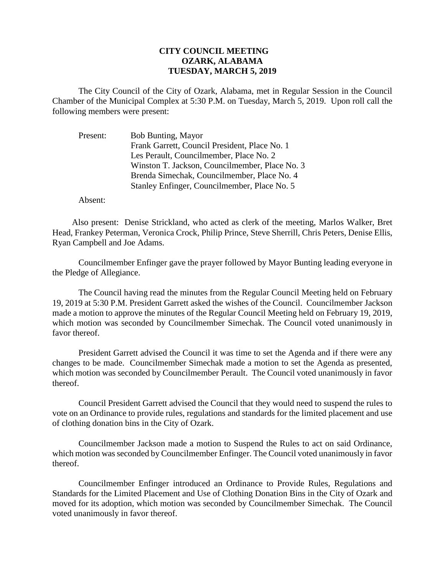## **CITY COUNCIL MEETING OZARK, ALABAMA TUESDAY, MARCH 5, 2019**

The City Council of the City of Ozark, Alabama, met in Regular Session in the Council Chamber of the Municipal Complex at 5:30 P.M. on Tuesday, March 5, 2019. Upon roll call the following members were present:

Present: Bob Bunting, Mayor Frank Garrett, Council President, Place No. 1 Les Perault, Councilmember, Place No. 2 Winston T. Jackson, Councilmember, Place No. 3 Brenda Simechak, Councilmember, Place No. 4 Stanley Enfinger, Councilmember, Place No. 5

Absent:

Also present: Denise Strickland, who acted as clerk of the meeting, Marlos Walker, Bret Head, Frankey Peterman, Veronica Crock, Philip Prince, Steve Sherrill, Chris Peters, Denise Ellis, Ryan Campbell and Joe Adams.

Councilmember Enfinger gave the prayer followed by Mayor Bunting leading everyone in the Pledge of Allegiance.

The Council having read the minutes from the Regular Council Meeting held on February 19, 2019 at 5:30 P.M. President Garrett asked the wishes of the Council. Councilmember Jackson made a motion to approve the minutes of the Regular Council Meeting held on February 19, 2019, which motion was seconded by Councilmember Simechak. The Council voted unanimously in favor thereof.

President Garrett advised the Council it was time to set the Agenda and if there were any changes to be made. Councilmember Simechak made a motion to set the Agenda as presented, which motion was seconded by Councilmember Perault. The Council voted unanimously in favor thereof.

Council President Garrett advised the Council that they would need to suspend the rules to vote on an Ordinance to provide rules, regulations and standards for the limited placement and use of clothing donation bins in the City of Ozark.

Councilmember Jackson made a motion to Suspend the Rules to act on said Ordinance, which motion was seconded by Councilmember Enfinger. The Council voted unanimously in favor thereof.

Councilmember Enfinger introduced an Ordinance to Provide Rules, Regulations and Standards for the Limited Placement and Use of Clothing Donation Bins in the City of Ozark and moved for its adoption, which motion was seconded by Councilmember Simechak. The Council voted unanimously in favor thereof.